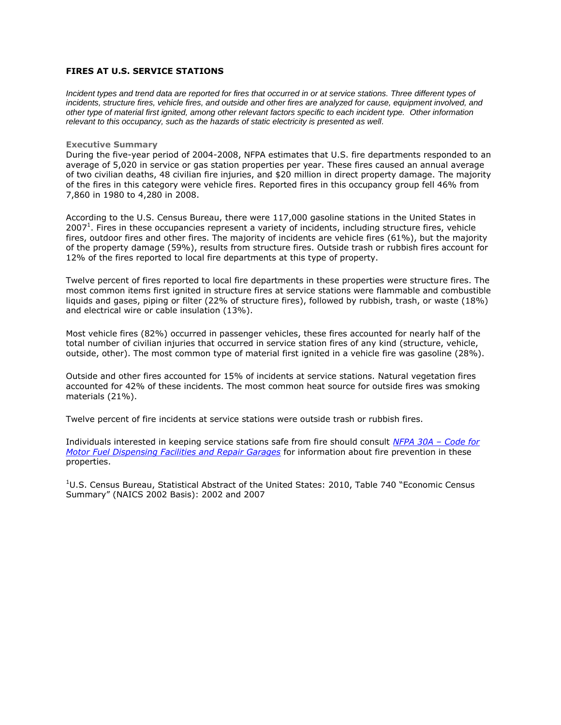## **FIRES AT U.S. SERVICE STATIONS**

*Incident types and trend data are reported for fires that occurred in or at service stations. Three different types of*  incidents, structure fires, vehicle fires, and outside and other fires are analyzed for cause, equipment involved, and *other type of material first ignited, among other relevant factors specific to each incident type. Other information relevant to this occupancy, such as the hazards of static electricity is presented as well.*

## **Executive Summary**

During the five-year period of 2004-2008, NFPA estimates that U.S. fire departments responded to an average of 5,020 in service or gas station properties per year. These fires caused an annual average of two civilian deaths, 48 civilian fire injuries, and \$20 million in direct property damage. The majority of the fires in this category were vehicle fires. Reported fires in this occupancy group fell 46% from 7,860 in 1980 to 4,280 in 2008.

According to the U.S. Census Bureau, there were 117,000 gasoline stations in the United States in 2007<sup>1</sup>. Fires in these occupancies represent a variety of incidents, including structure fires, vehicle fires, outdoor fires and other fires. The majority of incidents are vehicle fires (61%), but the majority of the property damage (59%), results from structure fires. Outside trash or rubbish fires account for 12% of the fires reported to local fire departments at this type of property.

Twelve percent of fires reported to local fire departments in these properties were structure fires. The most common items first ignited in structure fires at service stations were flammable and combustible liquids and gases, piping or filter (22% of structure fires), followed by rubbish, trash, or waste (18%) and electrical wire or cable insulation (13%).

Most vehicle fires (82%) occurred in passenger vehicles, these fires accounted for nearly half of the total number of civilian injuries that occurred in service station fires of any kind (structure, vehicle, outside, other). The most common type of material first ignited in a vehicle fire was gasoline (28%).

Outside and other fires accounted for 15% of incidents at service stations. Natural vegetation fires accounted for 42% of these incidents. The most common heat source for outside fires was smoking materials (21%).

Twelve percent of fire incidents at service stations were outside trash or rubbish fires.

Individuals interested in keeping service stations safe from fire should consult *[NFPA 30A](http://www.nfpa.org/aboutthecodes/AboutTheCodes.asp?DocNum=30A&order_src=C072&lid=C072) – Code for [Motor Fuel Dispensing Facilities and Repair Garages](http://www.nfpa.org/aboutthecodes/AboutTheCodes.asp?DocNum=30A&order_src=C072&lid=C072)* for information about fire prevention in these properties.

<sup>1</sup>U.S. Census Bureau, Statistical Abstract of the United States: 2010, Table 740 "Economic Census Summary" (NAICS 2002 Basis): 2002 and 2007